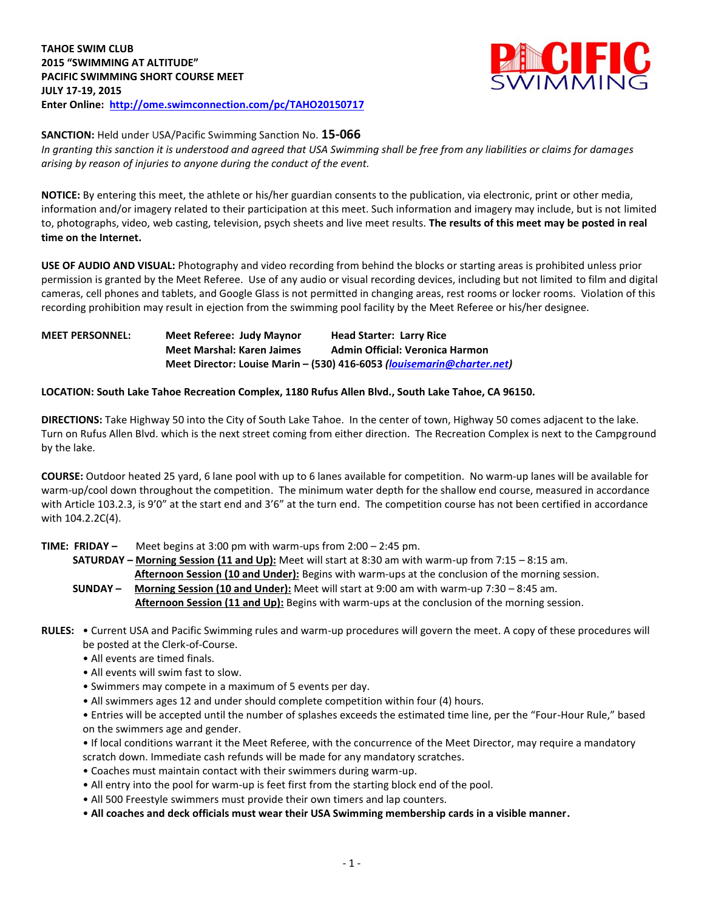

**SANCTION:** Held under USA/Pacific Swimming Sanction No. **15-066**

*In granting this sanction it is understood and agreed that USA Swimming shall be free from any liabilities or claims for damages arising by reason of injuries to anyone during the conduct of the event.*

**NOTICE:** By entering this meet, the athlete or his/her guardian consents to the publication, via electronic, print or other media, information and/or imagery related to their participation at this meet. Such information and imagery may include, but is not limited to, photographs, video, web casting, television, psych sheets and live meet results. **The results of this meet may be posted in real time on the Internet.**

**USE OF AUDIO AND VISUAL:** Photography and video recording from behind the blocks or starting areas is prohibited unless prior permission is granted by the Meet Referee. Use of any audio or visual recording devices, including but not limited to film and digital cameras, cell phones and tablets, and Google Glass is not permitted in changing areas, rest rooms or locker rooms. Violation of this recording prohibition may result in ejection from the swimming pool facility by the Meet Referee or his/her designee.

**MEET PERSONNEL: Meet Referee: Judy Maynor Head Starter: Larry Rice Meet Marshal: Karen Jaimes Admin Official: Veronica Harmon Meet Director: Louise Marin – (530) 416-6053** *[\(louisemarin@charter.net\)](mailto:louisemarin@charter.net)* 

## **LOCATION: South Lake Tahoe Recreation Complex, 1180 Rufus Allen Blvd., South Lake Tahoe, CA 96150.**

**DIRECTIONS:** Take Highway 50 into the City of South Lake Tahoe. In the center of town, Highway 50 comes adjacent to the lake. Turn on Rufus Allen Blvd. which is the next street coming from either direction. The Recreation Complex is next to the Campground by the lake.

**COURSE:** Outdoor heated 25 yard, 6 lane pool with up to 6 lanes available for competition. No warm-up lanes will be available for warm-up/cool down throughout the competition. The minimum water depth for the shallow end course, measured in accordance with Article 103.2.3, is 9'0" at the start end and 3'6" at the turn end. The competition course has not been certified in accordance with 104.2.2C(4).

**TIME: FRIDAY –** Meet begins at 3:00 pm with warm-ups from 2:00 – 2:45 pm.

 **SATURDAY – Morning Session (11 and Up):** Meet will start at 8:30 am with warm-up from 7:15 – 8:15 am. **Afternoon Session (10 and Under):** Begins with warm-ups at the conclusion of the morning session.

- **SUNDAY – Morning Session (10 and Under):** Meet will start at 9:00 am with warm-up 7:30 8:45 am. **Afternoon Session (11 and Up):** Begins with warm-ups at the conclusion of the morning session.
- **RULES:** Current USA and Pacific Swimming rules and warm-up procedures will govern the meet. A copy of these procedures will be posted at the Clerk-of-Course.
	- All events are timed finals.
	- All events will swim fast to slow.
	- Swimmers may compete in a maximum of 5 events per day.
	- All swimmers ages 12 and under should complete competition within four (4) hours.

• Entries will be accepted until the number of splashes exceeds the estimated time line, per the "Four-Hour Rule," based on the swimmers age and gender.

• If local conditions warrant it the Meet Referee, with the concurrence of the Meet Director, may require a mandatory scratch down. Immediate cash refunds will be made for any mandatory scratches.

- Coaches must maintain contact with their swimmers during warm-up.
- All entry into the pool for warm-up is feet first from the starting block end of the pool.
- All 500 Freestyle swimmers must provide their own timers and lap counters.
- **All coaches and deck officials must wear their USA Swimming membership cards in a visible manner.**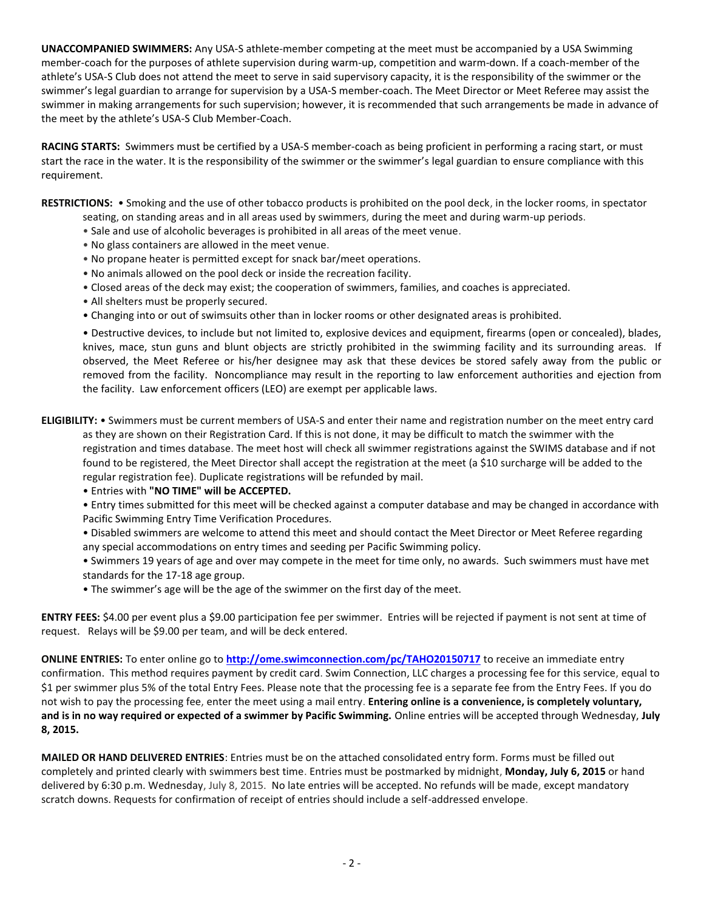**UNACCOMPANIED SWIMMERS:** Any USA-S athlete-member competing at the meet must be accompanied by a USA Swimming member-coach for the purposes of athlete supervision during warm-up, competition and warm-down. If a coach-member of the athlete's USA-S Club does not attend the meet to serve in said supervisory capacity, it is the responsibility of the swimmer or the swimmer's legal guardian to arrange for supervision by a USA-S member-coach. The Meet Director or Meet Referee may assist the swimmer in making arrangements for such supervision; however, it is recommended that such arrangements be made in advance of the meet by the athlete's USA-S Club Member-Coach.

**RACING STARTS:** Swimmers must be certified by a USA-S member-coach as being proficient in performing a racing start, or must start the race in the water. It is the responsibility of the swimmer or the swimmer's legal guardian to ensure compliance with this requirement.

**RESTRICTIONS:** • Smoking and the use of other tobacco products is prohibited on the pool deck, in the locker rooms, in spectator seating, on standing areas and in all areas used by swimmers, during the meet and during warm-up periods.

- Sale and use of alcoholic beverages is prohibited in all areas of the meet venue.
- No glass containers are allowed in the meet venue.
- No propane heater is permitted except for snack bar/meet operations.
- No animals allowed on the pool deck or inside the recreation facility.
- Closed areas of the deck may exist; the cooperation of swimmers, families, and coaches is appreciated.
- All shelters must be properly secured.
- Changing into or out of swimsuits other than in locker rooms or other designated areas is prohibited.

• Destructive devices, to include but not limited to, explosive devices and equipment, firearms (open or concealed), blades, knives, mace, stun guns and blunt objects are strictly prohibited in the swimming facility and its surrounding areas. If observed, the Meet Referee or his/her designee may ask that these devices be stored safely away from the public or removed from the facility. Noncompliance may result in the reporting to law enforcement authorities and ejection from the facility. Law enforcement officers (LEO) are exempt per applicable laws.

**ELIGIBILITY:** • Swimmers must be current members of USA-S and enter their name and registration number on the meet entry card as they are shown on their Registration Card. If this is not done, it may be difficult to match the swimmer with the registration and times database. The meet host will check all swimmer registrations against the SWIMS database and if not found to be registered, the Meet Director shall accept the registration at the meet (a \$10 surcharge will be added to the regular registration fee). Duplicate registrations will be refunded by mail.

• Entries with **"NO TIME" will be ACCEPTED.**

• Entry times submitted for this meet will be checked against a computer database and may be changed in accordance with Pacific Swimming Entry Time Verification Procedures.

• Disabled swimmers are welcome to attend this meet and should contact the Meet Director or Meet Referee regarding any special accommodations on entry times and seeding per Pacific Swimming policy.

• Swimmers 19 years of age and over may compete in the meet for time only, no awards. Such swimmers must have met standards for the 17-18 age group.

• The swimmer's age will be the age of the swimmer on the first day of the meet.

**ENTRY FEES:** \$4.00 per event plus a \$9.00 participation fee per swimmer. Entries will be rejected if payment is not sent at time of request. Relays will be \$9.00 per team, and will be deck entered.

**ONLINE ENTRIES:** To enter online go to **<http://ome.swimconnection.com/pc/TAHO20150717>** to receive an immediate entry confirmation. This method requires payment by credit card. Swim Connection, LLC charges a processing fee for this service, equal to \$1 per swimmer plus 5% of the total Entry Fees. Please note that the processing fee is a separate fee from the Entry Fees. If you do not wish to pay the processing fee, enter the meet using a mail entry. **Entering online is a convenience, is completely voluntary, and is in no way required or expected of a swimmer by Pacific Swimming.** Online entries will be accepted through Wednesday, **July 8, 2015.**

**MAILED OR HAND DELIVERED ENTRIES**: Entries must be on the attached consolidated entry form. Forms must be filled out completely and printed clearly with swimmers best time. Entries must be postmarked by midnight, **Monday, July 6, 2015** or hand delivered by 6:30 p.m. Wednesday, July 8, 2015. No late entries will be accepted. No refunds will be made, except mandatory scratch downs. Requests for confirmation of receipt of entries should include a self-addressed envelope.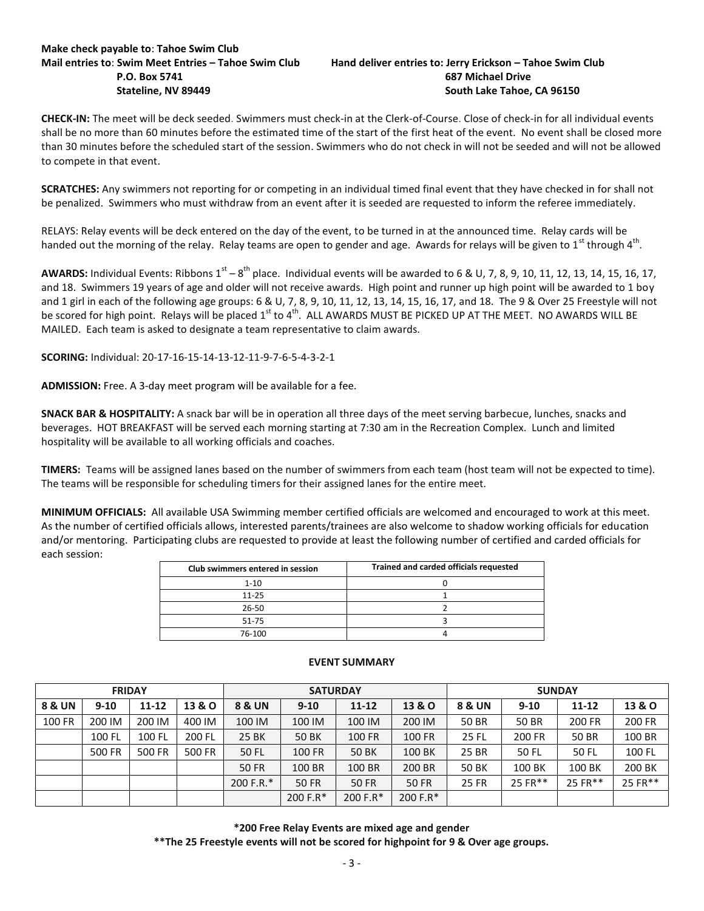# **Make check payable to**: **Tahoe Swim Club**

## **Mail entries to**: **Swim Meet Entries – Tahoe Swim Club Hand deliver entries to: Jerry Erickson – Tahoe Swim Club P.O. Box 5741 687 Michael Drive Stateline, NV 89449 South Lake Tahoe, CA 96150**

**CHECK-IN:** The meet will be deck seeded. Swimmers must check-in at the Clerk-of-Course. Close of check-in for all individual events shall be no more than 60 minutes before the estimated time of the start of the first heat of the event. No event shall be closed more than 30 minutes before the scheduled start of the session. Swimmers who do not check in will not be seeded and will not be allowed to compete in that event.

**SCRATCHES:** Any swimmers not reporting for or competing in an individual timed final event that they have checked in for shall not be penalized. Swimmers who must withdraw from an event after it is seeded are requested to inform the referee immediately.

RELAYS: Relay events will be deck entered on the day of the event, to be turned in at the announced time. Relay cards will be handed out the morning of the relay. Relay teams are open to gender and age. Awards for relays will be given to 1<sup>st</sup> through 4<sup>th</sup>.

AWARDS: Individual Events: Ribbons 1<sup>st</sup> – 8<sup>th</sup> place. Individual events will be awarded to 6 & U, 7, 8, 9, 10, 11, 12, 13, 14, 15, 16, 17, and 18. Swimmers 19 years of age and older will not receive awards. High point and runner up high point will be awarded to 1 boy and 1 girl in each of the following age groups: 6 & U, 7, 8, 9, 10, 11, 12, 13, 14, 15, 16, 17, and 18. The 9 & Over 25 Freestyle will not be scored for high point. Relays will be placed 1<sup>st</sup> to 4<sup>th</sup>. ALL AWARDS MUST BE PICKED UP AT THE MEET. NO AWARDS WILL BE MAILED. Each team is asked to designate a team representative to claim awards.

**SCORING:** Individual: 20-17-16-15-14-13-12-11-9-7-6-5-4-3-2-1

**ADMISSION:** Free. A 3-day meet program will be available for a fee.

**SNACK BAR & HOSPITALITY:** A snack bar will be in operation all three days of the meet serving barbecue, lunches, snacks and beverages. HOT BREAKFAST will be served each morning starting at 7:30 am in the Recreation Complex. Lunch and limited hospitality will be available to all working officials and coaches.

**TIMERS:** Teams will be assigned lanes based on the number of swimmers from each team (host team will not be expected to time). The teams will be responsible for scheduling timers for their assigned lanes for the entire meet.

**MINIMUM OFFICIALS:** All available USA Swimming member certified officials are welcomed and encouraged to work at this meet. As the number of certified officials allows, interested parents/trainees are also welcome to shadow working officials for education and/or mentoring. Participating clubs are requested to provide at least the following number of certified and carded officials for each session:

| Club swimmers entered in session | Trained and carded officials requested |
|----------------------------------|----------------------------------------|
| $1 - 10$                         |                                        |
| $11 - 25$                        |                                        |
| 26-50                            |                                        |
| 51-75                            |                                        |
| 76-100                           |                                        |

| <b>FRIDAY</b> |          |           | <b>SATURDAY</b>   |                   |               | <b>SUNDAY</b> |                   |              |          |           |         |
|---------------|----------|-----------|-------------------|-------------------|---------------|---------------|-------------------|--------------|----------|-----------|---------|
| 8 & UN        | $9 - 10$ | $11 - 12$ | <b>13 &amp; O</b> | <b>8 &amp; UN</b> | $9 - 10$      | $11 - 12$     | <b>13 &amp; O</b> | 8 & UN       | $9 - 10$ | $11 - 12$ | 13 & O  |
| 100 FR        | 200 IM   | 200 IM    | 400 IM            | 100 IM            | 100 IM        | 100 IM        | 200 IM            | <b>50 BR</b> | 50 BR    | 200 FR    | 200 FR  |
|               | 100 FL   | 100 FL    | 200 FL            | 25 BK             | <b>50 BK</b>  | 100 FR        | <b>100 FR</b>     | 25 FL        | 200 FR   | 50 BR     | 100 BR  |
|               | 500 FR   | 500 FR    | 500 FR            | <b>50 FL</b>      | <b>100 FR</b> | <b>50 BK</b>  | 100 BK            | 25 BR        | 50 FL    | 50 FL     | 100 FL  |
|               |          |           |                   | <b>50 FR</b>      | 100 BR        | 100 BR        | 200 BR            | <b>50 BK</b> | 100 BK   | 100 BK    | 200 BK  |
|               |          |           |                   | 200 F.R.*         | <b>50 FR</b>  | 50 FR         | 50 FR             | <b>25 FR</b> | 25 FR**  | 25 FR**   | 25 FR** |
|               |          |           |                   |                   | 200 F.R*      | 200 F.R*      | 200 F.R*          |              |          |           |         |

#### **EVENT SUMMARY**

**\*200 Free Relay Events are mixed age and gender**

**\*\*The 25 Freestyle events will not be scored for highpoint for 9 & Over age groups.**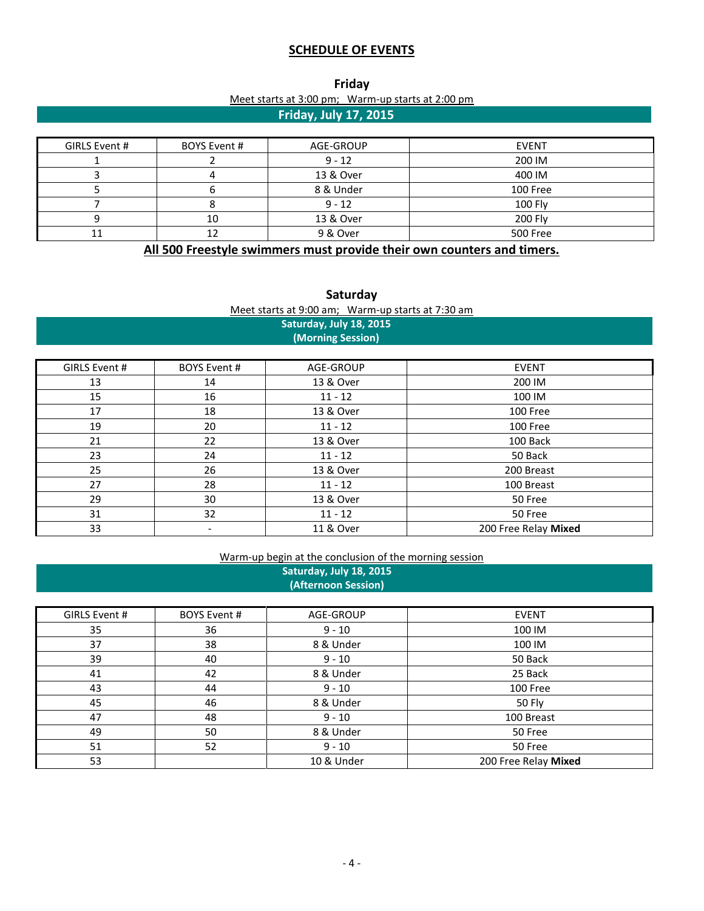# **SCHEDULE OF EVENTS**

| Friday                       |                                                   |  |  |  |  |  |  |  |
|------------------------------|---------------------------------------------------|--|--|--|--|--|--|--|
|                              | Meet starts at 3:00 pm; Warm-up starts at 2:00 pm |  |  |  |  |  |  |  |
| <b>Friday, July 17, 2015</b> |                                                   |  |  |  |  |  |  |  |

| GIRLS Event # | BOYS Event # | AGE-GROUP | <b>EVENT</b> |
|---------------|--------------|-----------|--------------|
|               |              | $9 - 12$  | 200 IM       |
|               |              | 13 & Over | 400 IM       |
|               |              | 8 & Under | 100 Free     |
|               |              | $9 - 12$  | 100 Fly      |
|               | 10           | 13 & Over | 200 Fly      |
|               |              | 9 & Over  | 500 Free     |

**All 500 Freestyle swimmers must provide their own counters and timers.**

| Saturday                                          |  |  |  |  |  |  |  |  |  |
|---------------------------------------------------|--|--|--|--|--|--|--|--|--|
| Meet starts at 9:00 am; Warm-up starts at 7:30 am |  |  |  |  |  |  |  |  |  |
| Saturday, July 18, 2015                           |  |  |  |  |  |  |  |  |  |
| (Morning Session)                                 |  |  |  |  |  |  |  |  |  |

| GIRLS Event # | <b>BOYS Event #</b>      | AGE-GROUP | <b>EVENT</b>         |
|---------------|--------------------------|-----------|----------------------|
| 13            | 14                       | 13 & Over | 200 IM               |
| 15            | 16                       | $11 - 12$ | 100 IM               |
| 17            | 18                       | 13 & Over | 100 Free             |
| 19            | 20                       | $11 - 12$ | 100 Free             |
| 21            | 22                       | 13 & Over | 100 Back             |
| 23            | 24                       | $11 - 12$ | 50 Back              |
| 25            | 26                       | 13 & Over | 200 Breast           |
| 27            | 28                       | $11 - 12$ | 100 Breast           |
| 29            | 30                       | 13 & Over | 50 Free              |
| 31            | 32                       | $11 - 12$ | 50 Free              |
| 33            | $\overline{\phantom{a}}$ | 11 & Over | 200 Free Relay Mixed |

# Warm-up begin at the conclusion of the morning session **Saturday, July 18, 2015**

**(Afternoon Session)**

| GIRLS Event # | <b>BOYS Event #</b> | AGE-GROUP  | <b>EVENT</b>         |
|---------------|---------------------|------------|----------------------|
| 35            | 36                  | $9 - 10$   | 100 IM               |
| 37            | 38                  | 8 & Under  | 100 IM               |
| 39            | 40                  | $9 - 10$   | 50 Back              |
| 41            | 42                  | 8 & Under  | 25 Back              |
| 43            | 44                  | $9 - 10$   | 100 Free             |
| 45            | 46                  | 8 & Under  | 50 Fly               |
| 47            | 48                  | $9 - 10$   | 100 Breast           |
| 49            | 50                  | 8 & Under  | 50 Free              |
| 51            | 52                  | $9 - 10$   | 50 Free              |
| 53            |                     | 10 & Under | 200 Free Relay Mixed |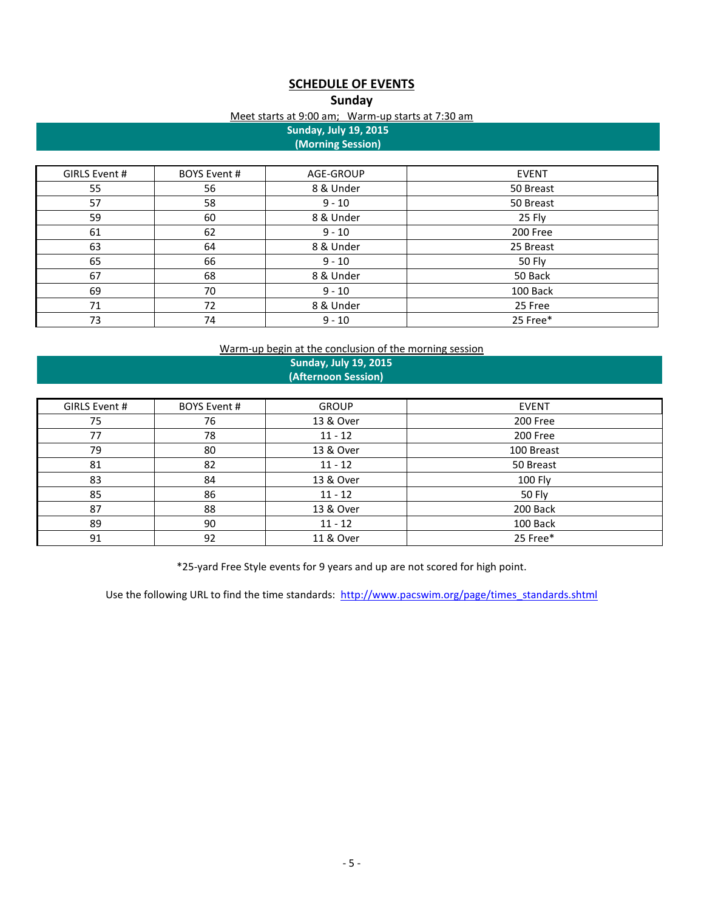# **SCHEDULE OF EVENTS**

## **Sunday**

#### Meet starts at 9:00 am; Warm-up starts at 7:30 am

**Sunday, July 19, 2015 (Morning Session)**

| GIRLS Event # | BOYS Event # | AGE-GROUP | <b>EVENT</b> |
|---------------|--------------|-----------|--------------|
| 55            | 56           | 8 & Under | 50 Breast    |
| 57            | 58           | $9 - 10$  | 50 Breast    |
| 59            | 60           | 8 & Under | 25 Fly       |
| 61            | 62           | $9 - 10$  | 200 Free     |
| 63            | 64           | 8 & Under | 25 Breast    |
| 65            | 66           | $9 - 10$  | 50 Fly       |
| 67            | 68           | 8 & Under | 50 Back      |
| 69            | 70           | $9 - 10$  | 100 Back     |
| 71            | 72           | 8 & Under | 25 Free      |
| 73            | 74           | $9 - 10$  | 25 Free*     |

### Warm-up begin at the conclusion of the morning session

## **Sunday, July 19, 2015 (Afternoon Session)**

| GIRLS Event # | BOYS Event # | <b>GROUP</b> | <b>EVENT</b>   |
|---------------|--------------|--------------|----------------|
| 75            | 76           | 13 & Over    | 200 Free       |
| 77            | 78           | $11 - 12$    | 200 Free       |
| 79            | 80           | 13 & Over    | 100 Breast     |
| 81            | 82           | $11 - 12$    | 50 Breast      |
| 83            | 84           | 13 & Over    | <b>100 Fly</b> |
| 85            | 86           | $11 - 12$    | 50 Fly         |
| 87            | 88           | 13 & Over    | 200 Back       |
| 89            | 90           | $11 - 12$    | 100 Back       |
| 91            | 92           | 11 & Over    | 25 Free*       |

\*25-yard Free Style events for 9 years and up are not scored for high point.

Use the following URL to find the time standards: [http://www.pacswim.org/page/times\\_standards.shtml](http://www.pacswim.org/page/times_standards.shtml)